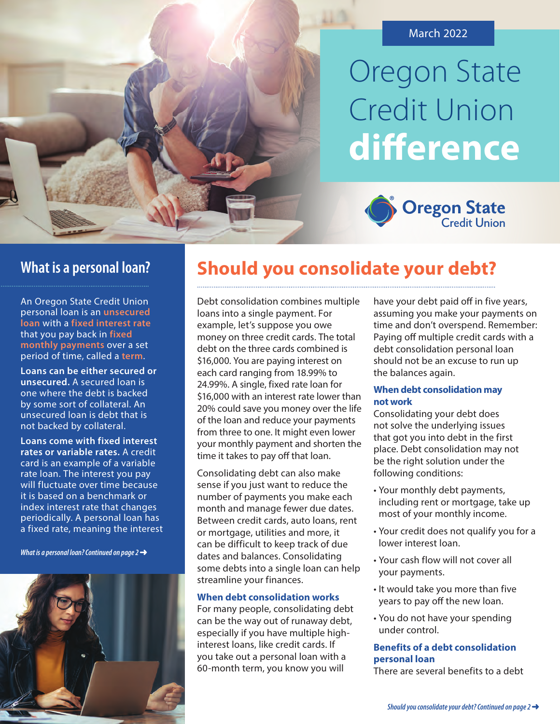

# Oregon State Credit Union **diference**



 **loan** with a **fixed interest rate** An Oregon State Credit Union personal loan is an **unsecured**  that you pay back in **fixed monthly payments** over a set period of time, called a **term**.

**Loans can be either secured or unsecured.** A secured loan is one where the debt is backed by some sort of collateral. An unsecured loan is debt that is not backed by collateral.

**Loans come with fixed interest rates or variable rates.** A credit card is an example of a variable rate loan. The interest you pay will fluctuate over time because it is based on a benchmark or index interest rate that changes periodically. A personal loan has a fixed rate, meaning the interest

*What is a personal loan? Continued on page 2* 



## **What is a personal loan? Should you consolidate your debt?**

Debt consolidation combines multiple loans into a single payment. For example, let's suppose you owe money on three credit cards. The total debt on the three cards combined is \$16,000. You are paying interest on each card ranging from 18.99% to 24.99%. A single, fixed rate loan for \$16,000 with an interest rate lower than 20% could save you money over the life of the loan and reduce your payments from three to one. It might even lower your monthly payment and shorten the time it takes to pay off that loan.

Consolidating debt can also make sense if you just want to reduce the number of payments you make each month and manage fewer due dates. Between credit cards, auto loans, rent or mortgage, utilities and more, it can be difficult to keep track of due dates and balances. Consolidating some debts into a single loan can help streamline your finances.

#### **When debt consolidation works**

For many people, consolidating debt can be the way out of runaway debt, especially if you have multiple highinterest loans, like credit cards. If you take out a personal loan with a 60-month term, you know you will

have your debt paid off in five years, assuming you make your payments on time and don't overspend. Remember: Paying off multiple credit cards with a debt consolidation personal loan should not be an excuse to run up the balances again.

#### **When debt consolidation may not work**

Consolidating your debt does not solve the underlying issues that got you into debt in the first place. Debt consolidation may not be the right solution under the following conditions:

- Your monthly debt payments, including rent or mortgage, take up most of your monthly income.
- Your credit does not qualify you for a lower interest loan.
- Your cash flow will not cover all your payments.
- It would take you more than five years to pay off the new loan.
- • You do not have your spending under control.

#### **Benefits of a debt consolidation personal loan**

There are several benefits to a debt